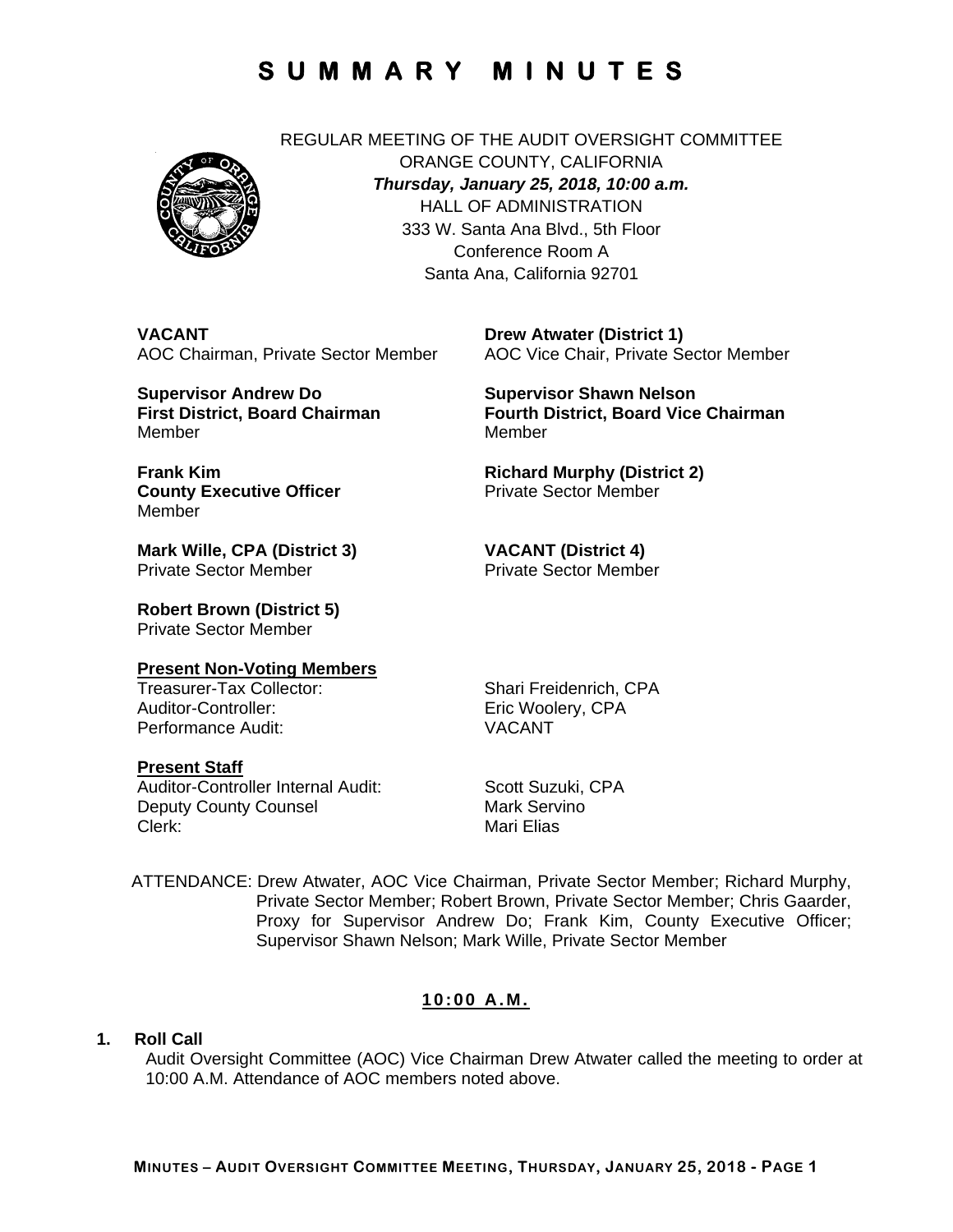

REGULAR MEETING OF THE AUDIT OVERSIGHT COMMITTEE ORANGE COUNTY, CALIFORNIA *Thursday, January 25, 2018, 10:00 a.m.*  HALL OF ADMINISTRATION 333 W. Santa Ana Blvd., 5th Floor Conference Room A Santa Ana, California 92701

**VACANT**  AOC Chairman, Private Sector Member

**Supervisor Andrew Do First District, Board Chairman**  Member

**Drew Atwater (District 1)**  AOC Vice Chair, Private Sector Member

**Supervisor Shawn Nelson Fourth District, Board Vice Chairman**  Member

**Richard Murphy (District 2)**  Private Sector Member

**Mark Wille, CPA (District 3)**  Private Sector Member

**County Executive Officer** 

**Robert Brown (District 5)** 

Private Sector Member

# **Present Non-Voting Members**

Auditor-Controller: Eric Woolery, CPA Performance Audit: VACANT

### **Present Staff**

**Frank Kim** 

Member

Auditor-Controller Internal Audit: Scott Suzuki, CPA Deputy County Counsel **Mark Servino** Clerk: Mari Elias

Shari Freidenrich, CPA

**VACANT (District 4)**  Private Sector Member

ATTENDANCE: Drew Atwater, AOC Vice Chairman, Private Sector Member; Richard Murphy, Private Sector Member; Robert Brown, Private Sector Member; Chris Gaarder, Proxy for Supervisor Andrew Do; Frank Kim, County Executive Officer; Supervisor Shawn Nelson; Mark Wille, Private Sector Member

### **10:00 A.M.**

### **1. Roll Call**

Audit Oversight Committee (AOC) Vice Chairman Drew Atwater called the meeting to order at 10:00 A.M. Attendance of AOC members noted above.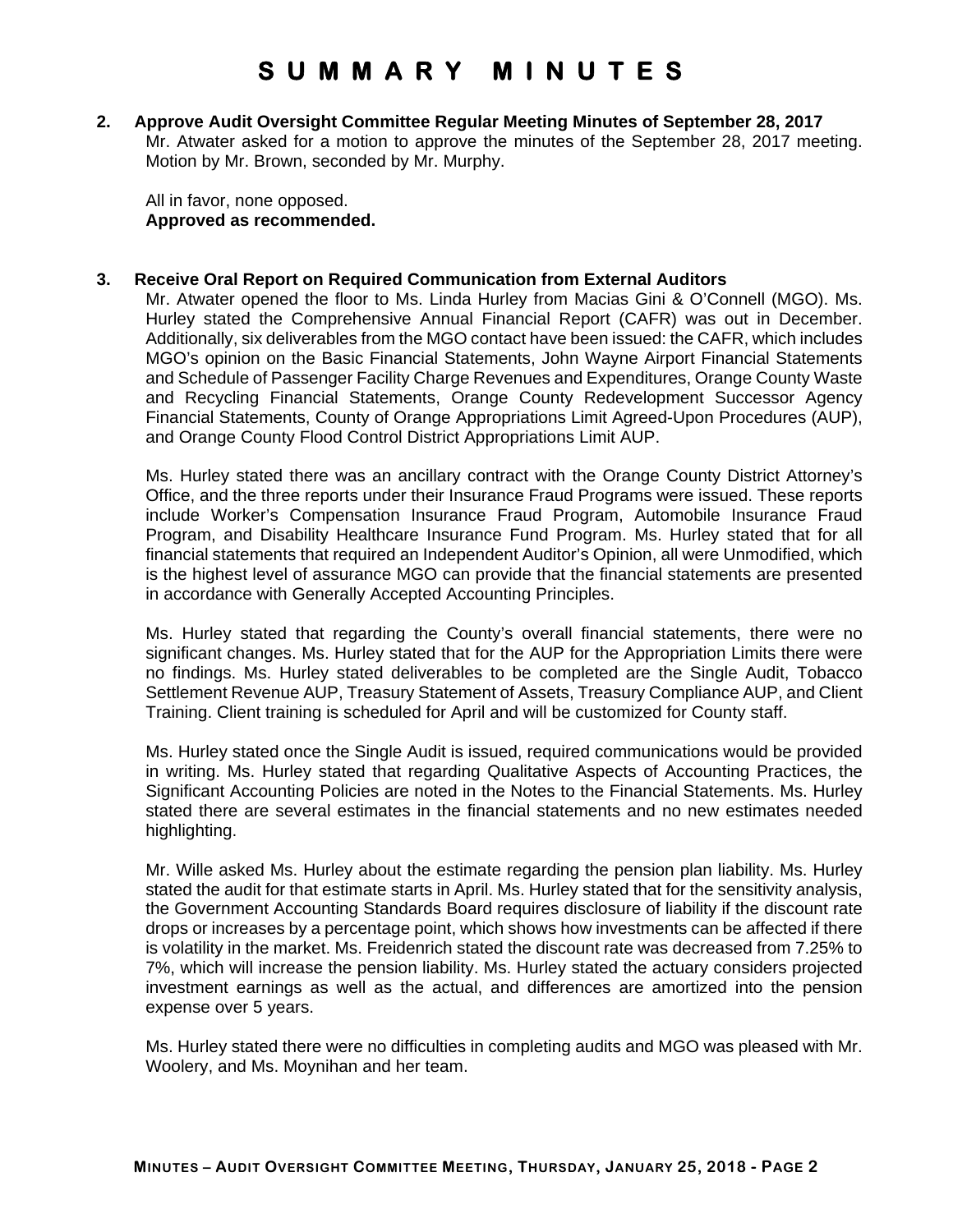#### **2. Approve Audit Oversight Committee Regular Meeting Minutes of September 28, 2017**  Mr. Atwater asked for a motion to approve the minutes of the September 28, 2017 meeting. Motion by Mr. Brown, seconded by Mr. Murphy.

All in favor, none opposed. **Approved as recommended.** 

#### **3. Receive Oral Report on Required Communication from External Auditors**

Mr. Atwater opened the floor to Ms. Linda Hurley from Macias Gini & O'Connell (MGO). Ms. Hurley stated the Comprehensive Annual Financial Report (CAFR) was out in December. Additionally, six deliverables from the MGO contact have been issued: the CAFR, which includes MGO's opinion on the Basic Financial Statements, John Wayne Airport Financial Statements and Schedule of Passenger Facility Charge Revenues and Expenditures, Orange County Waste and Recycling Financial Statements, Orange County Redevelopment Successor Agency Financial Statements, County of Orange Appropriations Limit Agreed-Upon Procedures (AUP), and Orange County Flood Control District Appropriations Limit AUP.

Ms. Hurley stated there was an ancillary contract with the Orange County District Attorney's Office, and the three reports under their Insurance Fraud Programs were issued. These reports include Worker's Compensation Insurance Fraud Program, Automobile Insurance Fraud Program, and Disability Healthcare Insurance Fund Program. Ms. Hurley stated that for all financial statements that required an Independent Auditor's Opinion, all were Unmodified, which is the highest level of assurance MGO can provide that the financial statements are presented in accordance with Generally Accepted Accounting Principles.

Ms. Hurley stated that regarding the County's overall financial statements, there were no significant changes. Ms. Hurley stated that for the AUP for the Appropriation Limits there were no findings. Ms. Hurley stated deliverables to be completed are the Single Audit, Tobacco Settlement Revenue AUP, Treasury Statement of Assets, Treasury Compliance AUP, and Client Training. Client training is scheduled for April and will be customized for County staff.

Ms. Hurley stated once the Single Audit is issued, required communications would be provided in writing. Ms. Hurley stated that regarding Qualitative Aspects of Accounting Practices, the Significant Accounting Policies are noted in the Notes to the Financial Statements. Ms. Hurley stated there are several estimates in the financial statements and no new estimates needed highlighting.

Mr. Wille asked Ms. Hurley about the estimate regarding the pension plan liability. Ms. Hurley stated the audit for that estimate starts in April. Ms. Hurley stated that for the sensitivity analysis, the Government Accounting Standards Board requires disclosure of liability if the discount rate drops or increases by a percentage point, which shows how investments can be affected if there is volatility in the market. Ms. Freidenrich stated the discount rate was decreased from 7.25% to 7%, which will increase the pension liability. Ms. Hurley stated the actuary considers projected investment earnings as well as the actual, and differences are amortized into the pension expense over 5 years.

Ms. Hurley stated there were no difficulties in completing audits and MGO was pleased with Mr. Woolery, and Ms. Moynihan and her team.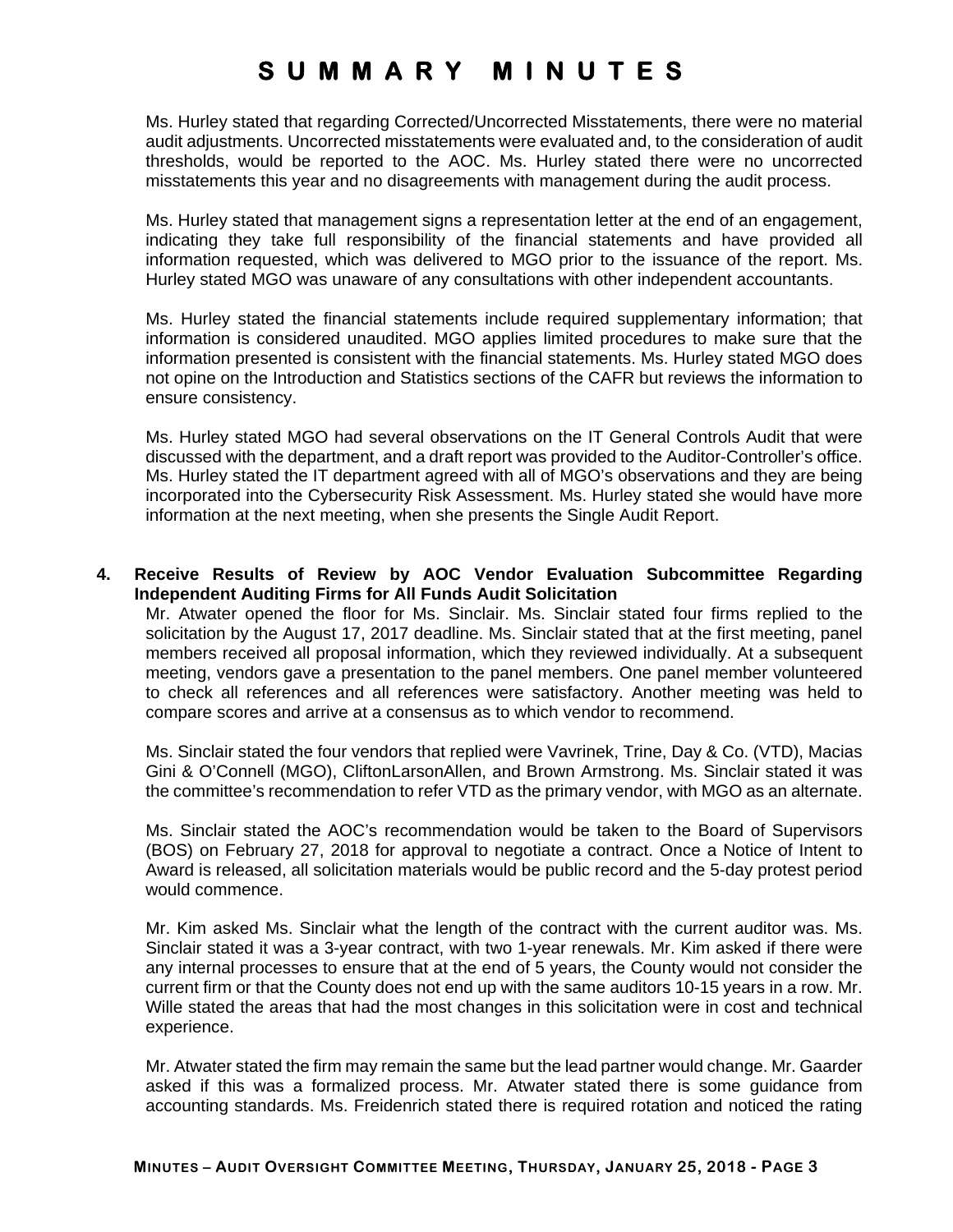Ms. Hurley stated that regarding Corrected/Uncorrected Misstatements, there were no material audit adjustments. Uncorrected misstatements were evaluated and, to the consideration of audit thresholds, would be reported to the AOC. Ms. Hurley stated there were no uncorrected misstatements this year and no disagreements with management during the audit process.

Ms. Hurley stated that management signs a representation letter at the end of an engagement, indicating they take full responsibility of the financial statements and have provided all information requested, which was delivered to MGO prior to the issuance of the report. Ms. Hurley stated MGO was unaware of any consultations with other independent accountants.

Ms. Hurley stated the financial statements include required supplementary information; that information is considered unaudited. MGO applies limited procedures to make sure that the information presented is consistent with the financial statements. Ms. Hurley stated MGO does not opine on the Introduction and Statistics sections of the CAFR but reviews the information to ensure consistency.

Ms. Hurley stated MGO had several observations on the IT General Controls Audit that were discussed with the department, and a draft report was provided to the Auditor-Controller's office. Ms. Hurley stated the IT department agreed with all of MGO's observations and they are being incorporated into the Cybersecurity Risk Assessment. Ms. Hurley stated she would have more information at the next meeting, when she presents the Single Audit Report.

### **4. Receive Results of Review by AOC Vendor Evaluation Subcommittee Regarding Independent Auditing Firms for All Funds Audit Solicitation**

Mr. Atwater opened the floor for Ms. Sinclair. Ms. Sinclair stated four firms replied to the solicitation by the August 17, 2017 deadline. Ms. Sinclair stated that at the first meeting, panel members received all proposal information, which they reviewed individually. At a subsequent meeting, vendors gave a presentation to the panel members. One panel member volunteered to check all references and all references were satisfactory. Another meeting was held to compare scores and arrive at a consensus as to which vendor to recommend.

Ms. Sinclair stated the four vendors that replied were Vavrinek, Trine, Day & Co. (VTD), Macias Gini & O'Connell (MGO), CliftonLarsonAllen, and Brown Armstrong. Ms. Sinclair stated it was the committee's recommendation to refer VTD as the primary vendor, with MGO as an alternate.

Ms. Sinclair stated the AOC's recommendation would be taken to the Board of Supervisors (BOS) on February 27, 2018 for approval to negotiate a contract. Once a Notice of Intent to Award is released, all solicitation materials would be public record and the 5-day protest period would commence.

Mr. Kim asked Ms. Sinclair what the length of the contract with the current auditor was. Ms. Sinclair stated it was a 3-year contract, with two 1-year renewals. Mr. Kim asked if there were any internal processes to ensure that at the end of 5 years, the County would not consider the current firm or that the County does not end up with the same auditors 10-15 years in a row. Mr. Wille stated the areas that had the most changes in this solicitation were in cost and technical experience.

Mr. Atwater stated the firm may remain the same but the lead partner would change. Mr. Gaarder asked if this was a formalized process. Mr. Atwater stated there is some guidance from accounting standards. Ms. Freidenrich stated there is required rotation and noticed the rating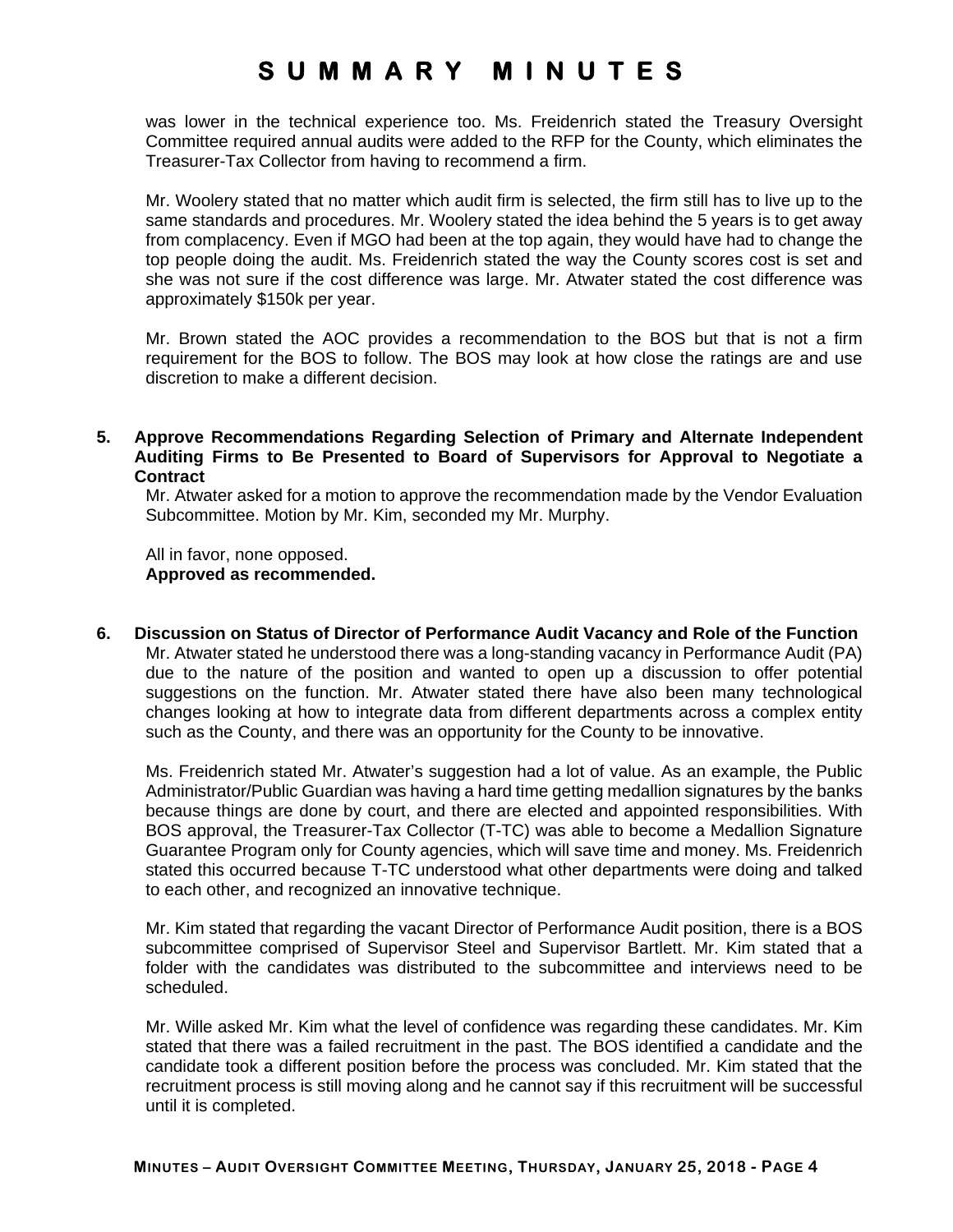was lower in the technical experience too. Ms. Freidenrich stated the Treasury Oversight Committee required annual audits were added to the RFP for the County, which eliminates the Treasurer-Tax Collector from having to recommend a firm.

Mr. Woolery stated that no matter which audit firm is selected, the firm still has to live up to the same standards and procedures. Mr. Woolery stated the idea behind the 5 years is to get away from complacency. Even if MGO had been at the top again, they would have had to change the top people doing the audit. Ms. Freidenrich stated the way the County scores cost is set and she was not sure if the cost difference was large. Mr. Atwater stated the cost difference was approximately \$150k per year.

Mr. Brown stated the AOC provides a recommendation to the BOS but that is not a firm requirement for the BOS to follow. The BOS may look at how close the ratings are and use discretion to make a different decision.

**5. Approve Recommendations Regarding Selection of Primary and Alternate Independent Auditing Firms to Be Presented to Board of Supervisors for Approval to Negotiate a Contract** 

Mr. Atwater asked for a motion to approve the recommendation made by the Vendor Evaluation Subcommittee. Motion by Mr. Kim, seconded my Mr. Murphy.

All in favor, none opposed. **Approved as recommended.** 

**6. Discussion on Status of Director of Performance Audit Vacancy and Role of the Function**  Mr. Atwater stated he understood there was a long-standing vacancy in Performance Audit (PA) due to the nature of the position and wanted to open up a discussion to offer potential suggestions on the function. Mr. Atwater stated there have also been many technological changes looking at how to integrate data from different departments across a complex entity such as the County, and there was an opportunity for the County to be innovative.

Ms. Freidenrich stated Mr. Atwater's suggestion had a lot of value. As an example, the Public Administrator/Public Guardian was having a hard time getting medallion signatures by the banks because things are done by court, and there are elected and appointed responsibilities. With BOS approval, the Treasurer-Tax Collector (T-TC) was able to become a Medallion Signature Guarantee Program only for County agencies, which will save time and money. Ms. Freidenrich stated this occurred because T-TC understood what other departments were doing and talked to each other, and recognized an innovative technique.

Mr. Kim stated that regarding the vacant Director of Performance Audit position, there is a BOS subcommittee comprised of Supervisor Steel and Supervisor Bartlett. Mr. Kim stated that a folder with the candidates was distributed to the subcommittee and interviews need to be scheduled.

Mr. Wille asked Mr. Kim what the level of confidence was regarding these candidates. Mr. Kim stated that there was a failed recruitment in the past. The BOS identified a candidate and the candidate took a different position before the process was concluded. Mr. Kim stated that the recruitment process is still moving along and he cannot say if this recruitment will be successful until it is completed.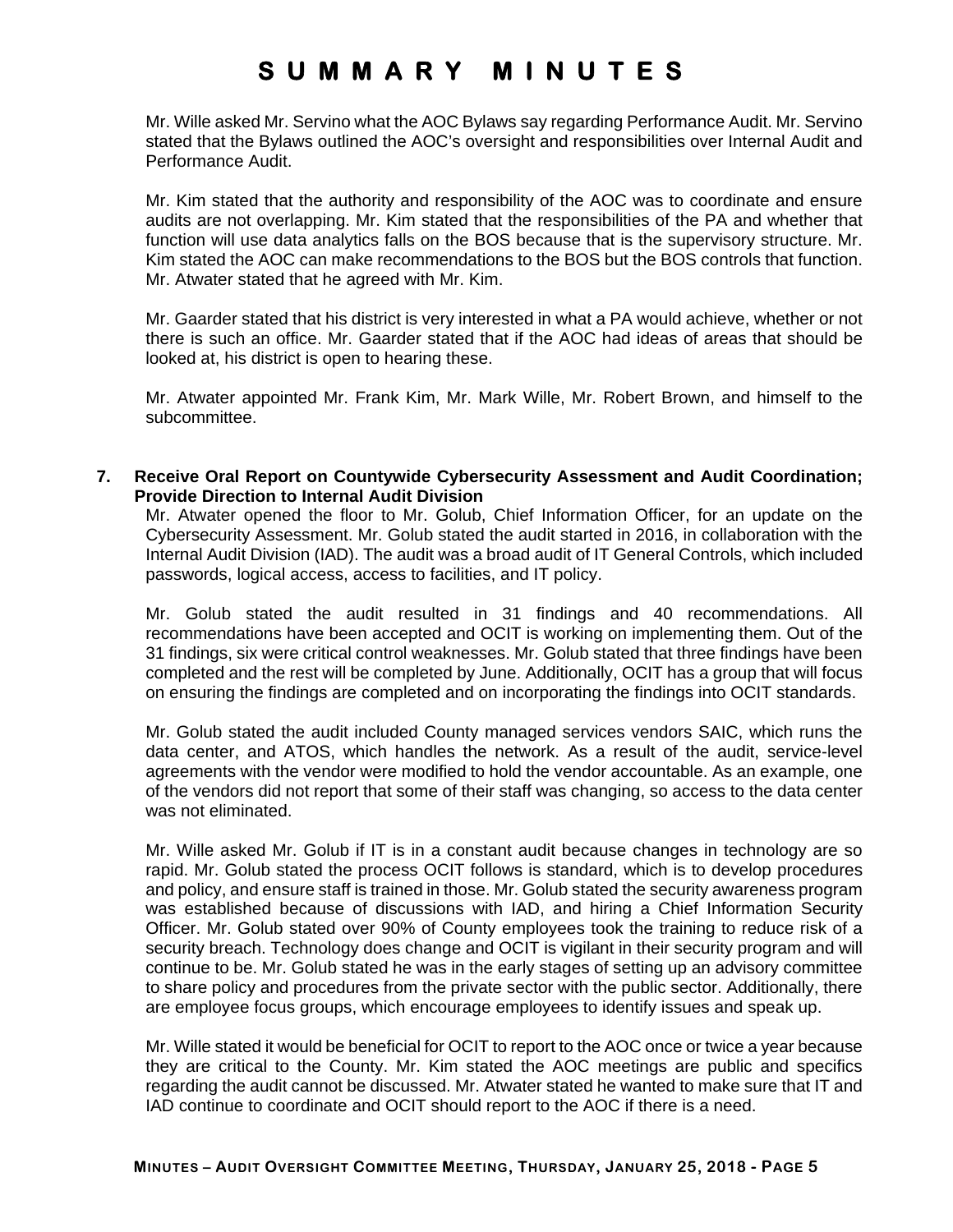Mr. Wille asked Mr. Servino what the AOC Bylaws say regarding Performance Audit. Mr. Servino stated that the Bylaws outlined the AOC's oversight and responsibilities over Internal Audit and Performance Audit.

Mr. Kim stated that the authority and responsibility of the AOC was to coordinate and ensure audits are not overlapping. Mr. Kim stated that the responsibilities of the PA and whether that function will use data analytics falls on the BOS because that is the supervisory structure. Mr. Kim stated the AOC can make recommendations to the BOS but the BOS controls that function. Mr. Atwater stated that he agreed with Mr. Kim.

Mr. Gaarder stated that his district is very interested in what a PA would achieve, whether or not there is such an office. Mr. Gaarder stated that if the AOC had ideas of areas that should be looked at, his district is open to hearing these.

Mr. Atwater appointed Mr. Frank Kim, Mr. Mark Wille, Mr. Robert Brown, and himself to the subcommittee.

**7. Receive Oral Report on Countywide Cybersecurity Assessment and Audit Coordination; Provide Direction to Internal Audit Division** 

Mr. Atwater opened the floor to Mr. Golub, Chief Information Officer, for an update on the Cybersecurity Assessment. Mr. Golub stated the audit started in 2016, in collaboration with the Internal Audit Division (IAD). The audit was a broad audit of IT General Controls, which included passwords, logical access, access to facilities, and IT policy.

Mr. Golub stated the audit resulted in 31 findings and 40 recommendations. All recommendations have been accepted and OCIT is working on implementing them. Out of the 31 findings, six were critical control weaknesses. Mr. Golub stated that three findings have been completed and the rest will be completed by June. Additionally, OCIT has a group that will focus on ensuring the findings are completed and on incorporating the findings into OCIT standards.

Mr. Golub stated the audit included County managed services vendors SAIC, which runs the data center, and ATOS, which handles the network. As a result of the audit, service-level agreements with the vendor were modified to hold the vendor accountable. As an example, one of the vendors did not report that some of their staff was changing, so access to the data center was not eliminated.

Mr. Wille asked Mr. Golub if IT is in a constant audit because changes in technology are so rapid. Mr. Golub stated the process OCIT follows is standard, which is to develop procedures and policy, and ensure staff is trained in those. Mr. Golub stated the security awareness program was established because of discussions with IAD, and hiring a Chief Information Security Officer. Mr. Golub stated over 90% of County employees took the training to reduce risk of a security breach. Technology does change and OCIT is vigilant in their security program and will continue to be. Mr. Golub stated he was in the early stages of setting up an advisory committee to share policy and procedures from the private sector with the public sector. Additionally, there are employee focus groups, which encourage employees to identify issues and speak up.

Mr. Wille stated it would be beneficial for OCIT to report to the AOC once or twice a year because they are critical to the County. Mr. Kim stated the AOC meetings are public and specifics regarding the audit cannot be discussed. Mr. Atwater stated he wanted to make sure that IT and IAD continue to coordinate and OCIT should report to the AOC if there is a need.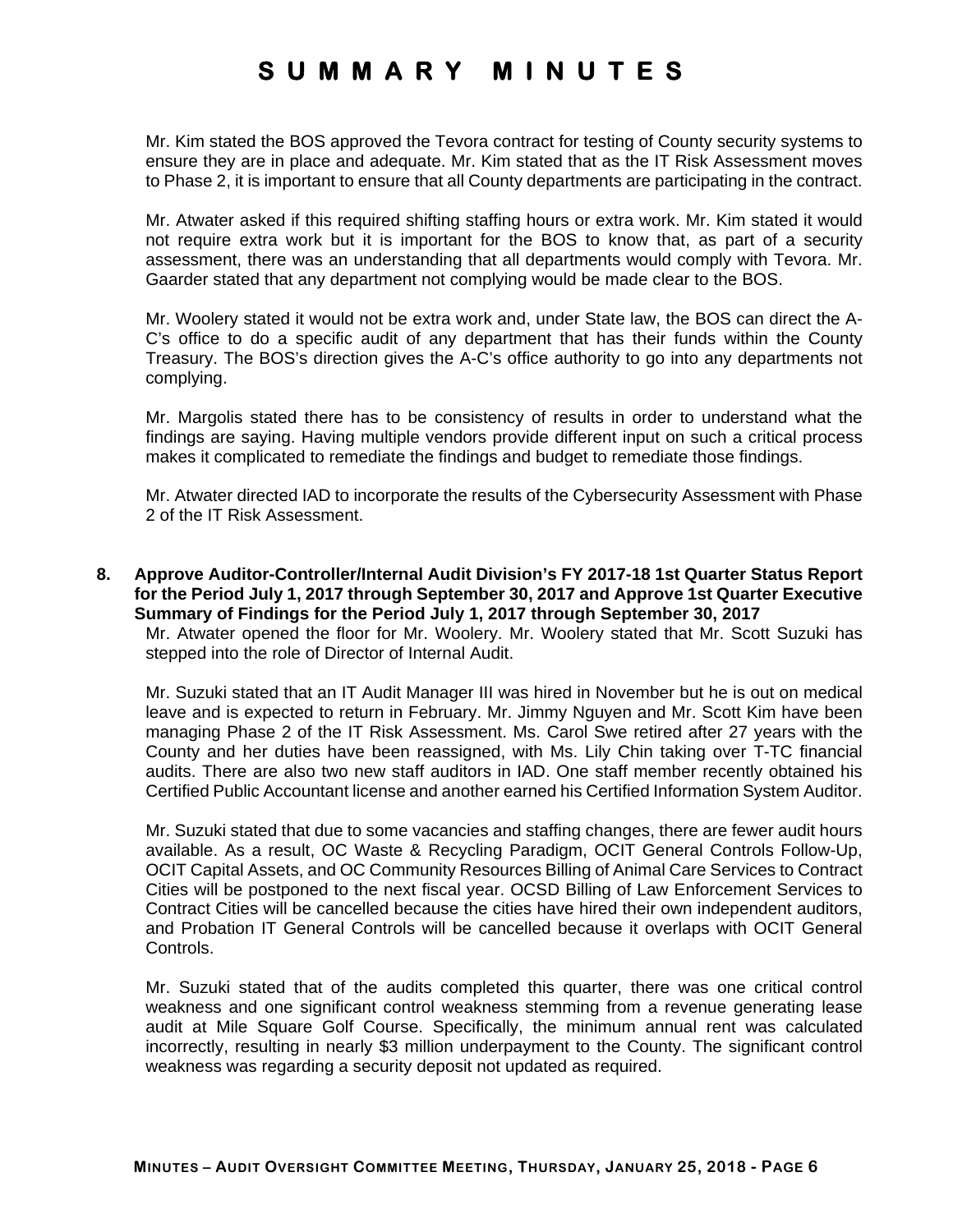Mr. Kim stated the BOS approved the Tevora contract for testing of County security systems to ensure they are in place and adequate. Mr. Kim stated that as the IT Risk Assessment moves to Phase 2, it is important to ensure that all County departments are participating in the contract.

Mr. Atwater asked if this required shifting staffing hours or extra work. Mr. Kim stated it would not require extra work but it is important for the BOS to know that, as part of a security assessment, there was an understanding that all departments would comply with Tevora. Mr. Gaarder stated that any department not complying would be made clear to the BOS.

Mr. Woolery stated it would not be extra work and, under State law, the BOS can direct the A-C's office to do a specific audit of any department that has their funds within the County Treasury. The BOS's direction gives the A-C's office authority to go into any departments not complying.

Mr. Margolis stated there has to be consistency of results in order to understand what the findings are saying. Having multiple vendors provide different input on such a critical process makes it complicated to remediate the findings and budget to remediate those findings.

Mr. Atwater directed IAD to incorporate the results of the Cybersecurity Assessment with Phase 2 of the IT Risk Assessment.

**8. Approve Auditor-Controller/Internal Audit Division's FY 2017-18 1st Quarter Status Report for the Period July 1, 2017 through September 30, 2017 and Approve 1st Quarter Executive Summary of Findings for the Period July 1, 2017 through September 30, 2017** 

Mr. Atwater opened the floor for Mr. Woolery. Mr. Woolery stated that Mr. Scott Suzuki has stepped into the role of Director of Internal Audit.

Mr. Suzuki stated that an IT Audit Manager III was hired in November but he is out on medical leave and is expected to return in February. Mr. Jimmy Nguyen and Mr. Scott Kim have been managing Phase 2 of the IT Risk Assessment. Ms. Carol Swe retired after 27 years with the County and her duties have been reassigned, with Ms. Lily Chin taking over T-TC financial audits. There are also two new staff auditors in IAD. One staff member recently obtained his Certified Public Accountant license and another earned his Certified Information System Auditor.

Mr. Suzuki stated that due to some vacancies and staffing changes, there are fewer audit hours available. As a result, OC Waste & Recycling Paradigm, OCIT General Controls Follow-Up, OCIT Capital Assets, and OC Community Resources Billing of Animal Care Services to Contract Cities will be postponed to the next fiscal year. OCSD Billing of Law Enforcement Services to Contract Cities will be cancelled because the cities have hired their own independent auditors, and Probation IT General Controls will be cancelled because it overlaps with OCIT General Controls.

Mr. Suzuki stated that of the audits completed this quarter, there was one critical control weakness and one significant control weakness stemming from a revenue generating lease audit at Mile Square Golf Course. Specifically, the minimum annual rent was calculated incorrectly, resulting in nearly \$3 million underpayment to the County. The significant control weakness was regarding a security deposit not updated as required.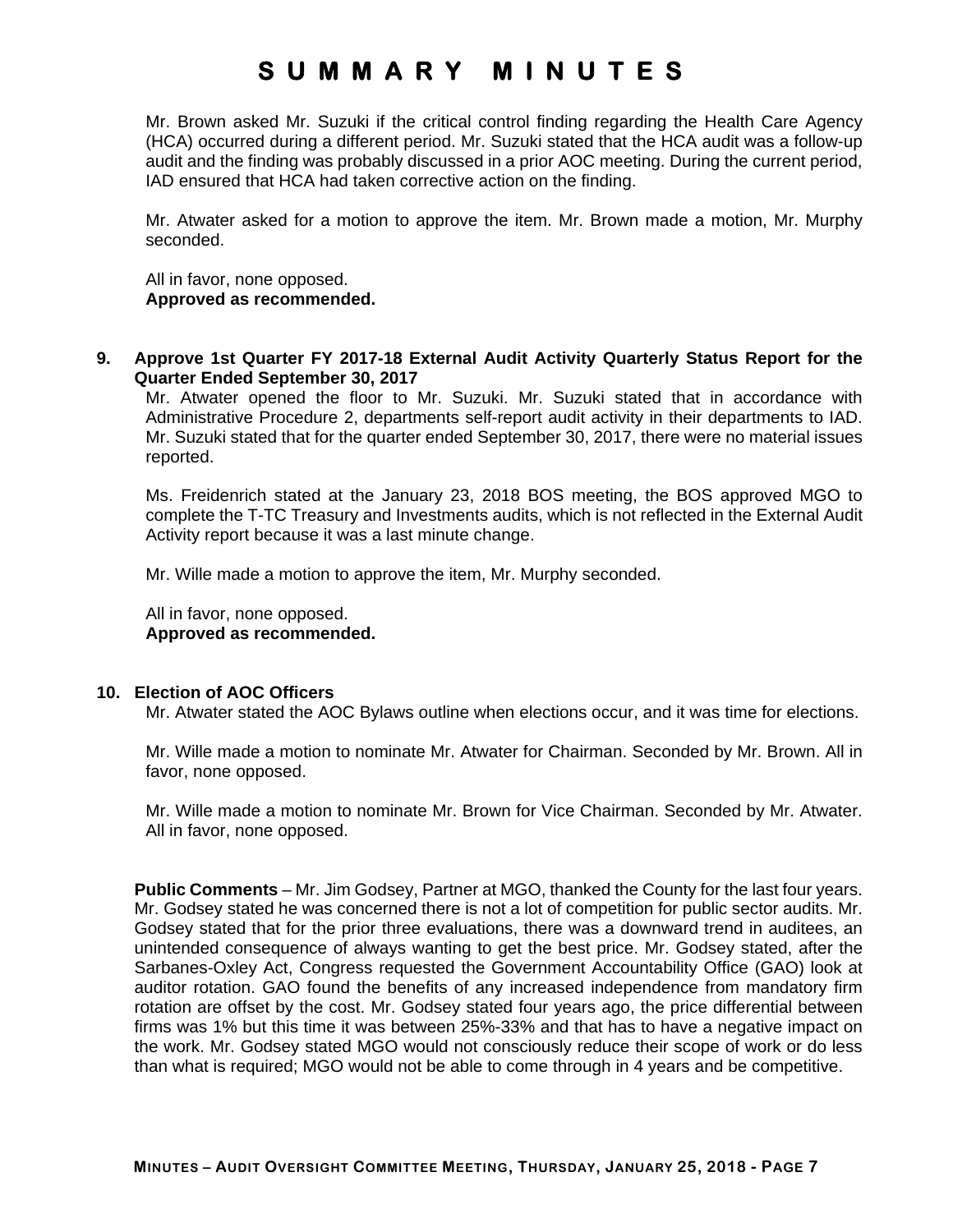Mr. Brown asked Mr. Suzuki if the critical control finding regarding the Health Care Agency (HCA) occurred during a different period. Mr. Suzuki stated that the HCA audit was a follow-up audit and the finding was probably discussed in a prior AOC meeting. During the current period, IAD ensured that HCA had taken corrective action on the finding.

Mr. Atwater asked for a motion to approve the item. Mr. Brown made a motion, Mr. Murphy seconded.

All in favor, none opposed. **Approved as recommended.** 

**9. Approve 1st Quarter FY 2017-18 External Audit Activity Quarterly Status Report for the Quarter Ended September 30, 2017** 

Mr. Atwater opened the floor to Mr. Suzuki. Mr. Suzuki stated that in accordance with Administrative Procedure 2, departments self-report audit activity in their departments to IAD. Mr. Suzuki stated that for the quarter ended September 30, 2017, there were no material issues reported.

Ms. Freidenrich stated at the January 23, 2018 BOS meeting, the BOS approved MGO to complete the T-TC Treasury and Investments audits, which is not reflected in the External Audit Activity report because it was a last minute change.

Mr. Wille made a motion to approve the item, Mr. Murphy seconded.

All in favor, none opposed. **Approved as recommended.** 

### **10. Election of AOC Officers**

Mr. Atwater stated the AOC Bylaws outline when elections occur, and it was time for elections.

Mr. Wille made a motion to nominate Mr. Atwater for Chairman. Seconded by Mr. Brown. All in favor, none opposed.

Mr. Wille made a motion to nominate Mr. Brown for Vice Chairman. Seconded by Mr. Atwater. All in favor, none opposed.

**Public Comments** – Mr. Jim Godsey, Partner at MGO, thanked the County for the last four years. Mr. Godsey stated he was concerned there is not a lot of competition for public sector audits. Mr. Godsey stated that for the prior three evaluations, there was a downward trend in auditees, an unintended consequence of always wanting to get the best price. Mr. Godsey stated, after the Sarbanes-Oxley Act, Congress requested the Government Accountability Office (GAO) look at auditor rotation. GAO found the benefits of any increased independence from mandatory firm rotation are offset by the cost. Mr. Godsey stated four years ago, the price differential between firms was 1% but this time it was between 25%-33% and that has to have a negative impact on the work. Mr. Godsey stated MGO would not consciously reduce their scope of work or do less than what is required; MGO would not be able to come through in 4 years and be competitive.